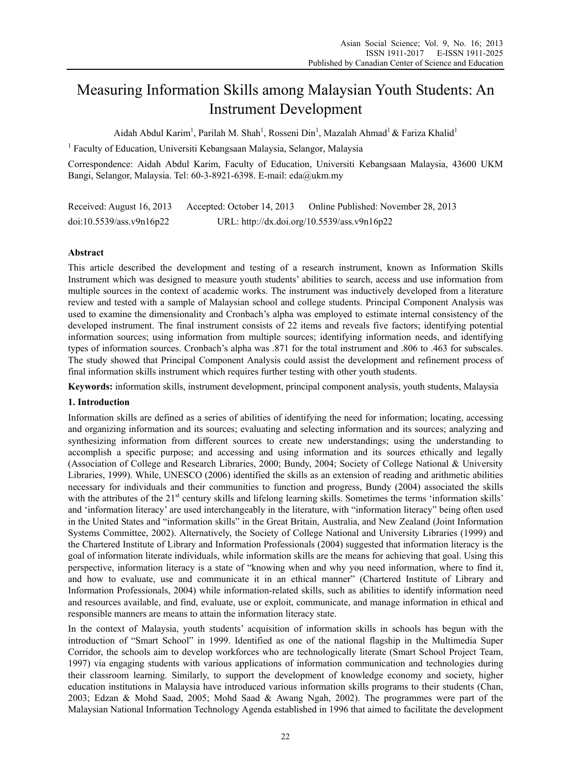# Measuring Information Skills among Malaysian Youth Students: An Instrument Development

Aidah Abdul Karim<sup>1</sup>, Parilah M. Shah<sup>1</sup>, Rosseni Din<sup>1</sup>, Mazalah Ahmad<sup>1</sup> & Fariza Khalid<sup>1</sup>

<sup>1</sup> Faculty of Education, Universiti Kebangsaan Malaysia, Selangor, Malaysia

Correspondence: Aidah Abdul Karim, Faculty of Education, Universiti Kebangsaan Malaysia, 43600 UKM Bangi, Selangor, Malaysia. Tel: 60-3-8921-6398. E-mail: eda@ukm.my

Received: August 16, 2013 Accepted: October 14, 2013 Online Published: November 28, 2013 doi:10.5539/ass.v9n16p22 URL: http://dx.doi.org/10.5539/ass.v9n16p22

# **Abstract**

This article described the development and testing of a research instrument, known as Information Skills Instrument which was designed to measure youth students' abilities to search, access and use information from multiple sources in the context of academic works. The instrument was inductively developed from a literature review and tested with a sample of Malaysian school and college students. Principal Component Analysis was used to examine the dimensionality and Cronbach's alpha was employed to estimate internal consistency of the developed instrument. The final instrument consists of 22 items and reveals five factors; identifying potential information sources; using information from multiple sources; identifying information needs, and identifying types of information sources. Cronbach's alpha was .871 for the total instrument and .806 to .463 for subscales. The study showed that Principal Component Analysis could assist the development and refinement process of final information skills instrument which requires further testing with other youth students.

**Keywords:** information skills, instrument development, principal component analysis, youth students, Malaysia

#### **1. Introduction**

Information skills are defined as a series of abilities of identifying the need for information; locating, accessing and organizing information and its sources; evaluating and selecting information and its sources; analyzing and synthesizing information from different sources to create new understandings; using the understanding to accomplish a specific purpose; and accessing and using information and its sources ethically and legally (Association of College and Research Libraries, 2000; Bundy, 2004; Society of College National & University Libraries, 1999). While, UNESCO (2006) identified the skills as an extension of reading and arithmetic abilities necessary for individuals and their communities to function and progress, Bundy (2004) associated the skills with the attributes of the  $21<sup>st</sup>$  century skills and lifelong learning skills. Sometimes the terms 'information skills' and 'information literacy' are used interchangeably in the literature, with "information literacy" being often used in the United States and "information skills" in the Great Britain, Australia, and New Zealand (Joint Information Systems Committee, 2002). Alternatively, the Society of College National and University Libraries (1999) and the Chartered Institute of Library and Information Professionals (2004) suggested that information literacy is the goal of information literate individuals, while information skills are the means for achieving that goal. Using this perspective, information literacy is a state of "knowing when and why you need information, where to find it, and how to evaluate, use and communicate it in an ethical manner" (Chartered Institute of Library and Information Professionals, 2004) while information-related skills, such as abilities to identify information need and resources available, and find, evaluate, use or exploit, communicate, and manage information in ethical and responsible manners are means to attain the information literacy state.

In the context of Malaysia, youth students' acquisition of information skills in schools has begun with the introduction of "Smart School" in 1999. Identified as one of the national flagship in the Multimedia Super Corridor, the schools aim to develop workforces who are technologically literate (Smart School Project Team, 1997) via engaging students with various applications of information communication and technologies during their classroom learning. Similarly, to support the development of knowledge economy and society, higher education institutions in Malaysia have introduced various information skills programs to their students (Chan, 2003; Edzan & Mohd Saad, 2005; Mohd Saad & Awang Ngah, 2002). The programmes were part of the Malaysian National Information Technology Agenda established in 1996 that aimed to facilitate the development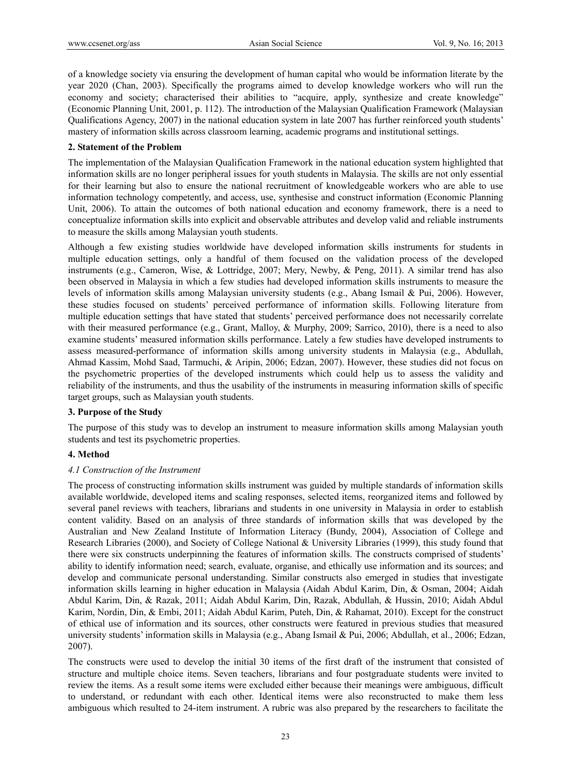of a knowledge society via ensuring the development of human capital who would be information literate by the year 2020 (Chan, 2003). Specifically the programs aimed to develop knowledge workers who will run the economy and society; characterised their abilities to "acquire, apply, synthesize and create knowledge" (Economic Planning Unit, 2001, p. 112). The introduction of the Malaysian Qualification Framework (Malaysian Qualifications Agency, 2007) in the national education system in late 2007 has further reinforced youth students' mastery of information skills across classroom learning, academic programs and institutional settings.

# **2. Statement of the Problem**

The implementation of the Malaysian Qualification Framework in the national education system highlighted that information skills are no longer peripheral issues for youth students in Malaysia. The skills are not only essential for their learning but also to ensure the national recruitment of knowledgeable workers who are able to use information technology competently, and access, use, synthesise and construct information (Economic Planning Unit, 2006). To attain the outcomes of both national education and economy framework, there is a need to conceptualize information skills into explicit and observable attributes and develop valid and reliable instruments to measure the skills among Malaysian youth students.

Although a few existing studies worldwide have developed information skills instruments for students in multiple education settings, only a handful of them focused on the validation process of the developed instruments (e.g., Cameron, Wise, & Lottridge, 2007; Mery, Newby, & Peng, 2011). A similar trend has also been observed in Malaysia in which a few studies had developed information skills instruments to measure the levels of information skills among Malaysian university students (e.g., Abang Ismail & Pui, 2006). However, these studies focused on students' perceived performance of information skills. Following literature from multiple education settings that have stated that students' perceived performance does not necessarily correlate with their measured performance (e.g., Grant, Malloy, & Murphy, 2009; Sarrico, 2010), there is a need to also examine students' measured information skills performance. Lately a few studies have developed instruments to assess measured-performance of information skills among university students in Malaysia (e.g., Abdullah, Ahmad Kassim, Mohd Saad, Tarmuchi, & Aripin, 2006; Edzan, 2007). However, these studies did not focus on the psychometric properties of the developed instruments which could help us to assess the validity and reliability of the instruments, and thus the usability of the instruments in measuring information skills of specific target groups, such as Malaysian youth students.

#### **3. Purpose of the Study**

The purpose of this study was to develop an instrument to measure information skills among Malaysian youth students and test its psychometric properties.

#### **4. Method**

#### *4.1 Construction of the Instrument*

The process of constructing information skills instrument was guided by multiple standards of information skills available worldwide, developed items and scaling responses, selected items, reorganized items and followed by several panel reviews with teachers, librarians and students in one university in Malaysia in order to establish content validity. Based on an analysis of three standards of information skills that was developed by the Australian and New Zealand Institute of Information Literacy (Bundy, 2004), Association of College and Research Libraries (2000), and Society of College National & University Libraries (1999), this study found that there were six constructs underpinning the features of information skills. The constructs comprised of students' ability to identify information need; search, evaluate, organise, and ethically use information and its sources; and develop and communicate personal understanding. Similar constructs also emerged in studies that investigate information skills learning in higher education in Malaysia (Aidah Abdul Karim, Din, & Osman, 2004; Aidah Abdul Karim, Din, & Razak, 2011; Aidah Abdul Karim, Din, Razak, Abdullah, & Hussin, 2010; Aidah Abdul Karim, Nordin, Din, & Embi, 2011; Aidah Abdul Karim, Puteh, Din, & Rahamat, 2010). Except for the construct of ethical use of information and its sources, other constructs were featured in previous studies that measured university students' information skills in Malaysia (e.g., Abang Ismail & Pui, 2006; Abdullah, et al., 2006; Edzan, 2007).

The constructs were used to develop the initial 30 items of the first draft of the instrument that consisted of structure and multiple choice items. Seven teachers, librarians and four postgraduate students were invited to review the items. As a result some items were excluded either because their meanings were ambiguous, difficult to understand, or redundant with each other. Identical items were also reconstructed to make them less ambiguous which resulted to 24-item instrument. A rubric was also prepared by the researchers to facilitate the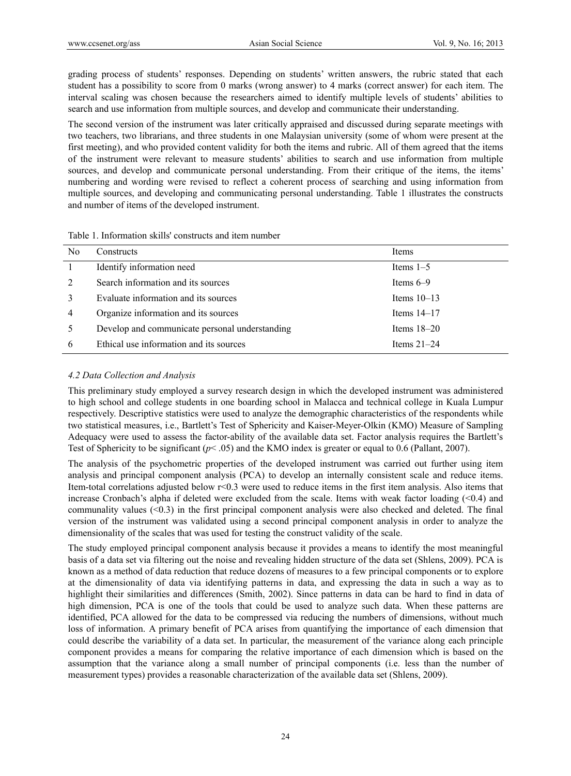grading process of students' responses. Depending on students' written answers, the rubric stated that each student has a possibility to score from 0 marks (wrong answer) to 4 marks (correct answer) for each item. The interval scaling was chosen because the researchers aimed to identify multiple levels of students' abilities to search and use information from multiple sources, and develop and communicate their understanding.

The second version of the instrument was later critically appraised and discussed during separate meetings with two teachers, two librarians, and three students in one Malaysian university (some of whom were present at the first meeting), and who provided content validity for both the items and rubric. All of them agreed that the items of the instrument were relevant to measure students' abilities to search and use information from multiple sources, and develop and communicate personal understanding. From their critique of the items, the items' numbering and wording were revised to reflect a coherent process of searching and using information from multiple sources, and developing and communicating personal understanding. Table 1 illustrates the constructs and number of items of the developed instrument.

| N <sub>0</sub> | Constructs                                     | Items         |
|----------------|------------------------------------------------|---------------|
| $\overline{1}$ | Identify information need                      | Items $1-5$   |
| 2              | Search information and its sources             | Items $6-9$   |
| 3              | Evaluate information and its sources           | Items $10-13$ |
| $\overline{4}$ | Organize information and its sources           | Items $14-17$ |
|                | Develop and communicate personal understanding | Items $18-20$ |
| 6              | Ethical use information and its sources        | Items $21-24$ |

|  | Table 1. Information skills' constructs and item number |  |  |  |  |  |
|--|---------------------------------------------------------|--|--|--|--|--|
|--|---------------------------------------------------------|--|--|--|--|--|

# *4.2 Data Collection and Analysis*

This preliminary study employed a survey research design in which the developed instrument was administered to high school and college students in one boarding school in Malacca and technical college in Kuala Lumpur respectively. Descriptive statistics were used to analyze the demographic characteristics of the respondents while two statistical measures, i.e., Bartlett's Test of Sphericity and Kaiser-Meyer-Olkin (KMO) Measure of Sampling Adequacy were used to assess the factor-ability of the available data set. Factor analysis requires the Bartlett's Test of Sphericity to be significant ( $p$ < .05) and the KMO index is greater or equal to 0.6 (Pallant, 2007).

The analysis of the psychometric properties of the developed instrument was carried out further using item analysis and principal component analysis (PCA) to develop an internally consistent scale and reduce items. Item-total correlations adjusted below r<0.3 were used to reduce items in the first item analysis. Also items that increase Cronbach's alpha if deleted were excluded from the scale. Items with weak factor loading (<0.4) and communality values (<0.3) in the first principal component analysis were also checked and deleted. The final version of the instrument was validated using a second principal component analysis in order to analyze the dimensionality of the scales that was used for testing the construct validity of the scale.

The study employed principal component analysis because it provides a means to identify the most meaningful basis of a data set via filtering out the noise and revealing hidden structure of the data set (Shlens, 2009). PCA is known as a method of data reduction that reduce dozens of measures to a few principal components or to explore at the dimensionality of data via identifying patterns in data, and expressing the data in such a way as to highlight their similarities and differences (Smith, 2002). Since patterns in data can be hard to find in data of high dimension, PCA is one of the tools that could be used to analyze such data. When these patterns are identified, PCA allowed for the data to be compressed via reducing the numbers of dimensions, without much loss of information. A primary benefit of PCA arises from quantifying the importance of each dimension that could describe the variability of a data set. In particular, the measurement of the variance along each principle component provides a means for comparing the relative importance of each dimension which is based on the assumption that the variance along a small number of principal components (i.e. less than the number of measurement types) provides a reasonable characterization of the available data set (Shlens, 2009).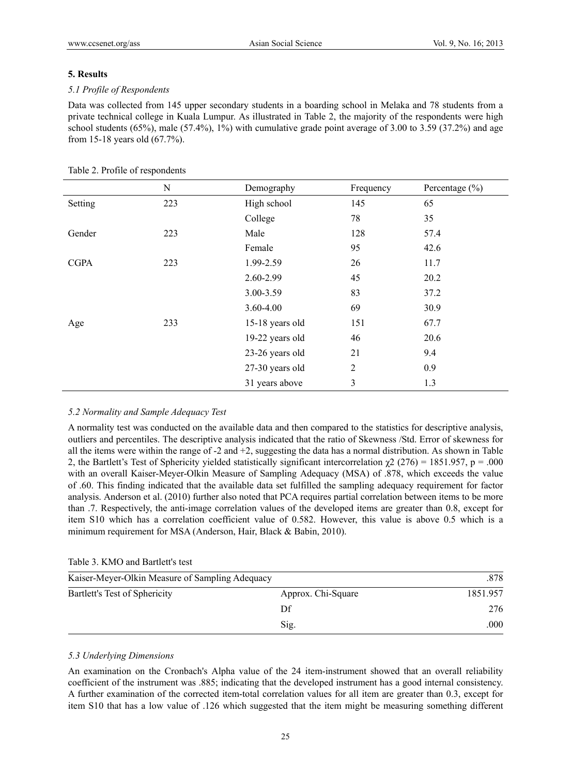# **5. Results**

# *5.1 Profile of Respondents*

Data was collected from 145 upper secondary students in a boarding school in Melaka and 78 students from a private technical college in Kuala Lumpur. As illustrated in Table 2, the majority of the respondents were high school students  $(65\%)$ , male  $(57.4\%)$ ,  $1\%)$  with cumulative grade point average of 3.00 to 3.59 (37.2%) and age from 15-18 years old (67.7%).

|             | N   | Demography      | Frequency | Percentage $(\% )$ |
|-------------|-----|-----------------|-----------|--------------------|
| Setting     | 223 | High school     | 145       | 65                 |
|             |     | College         | 78        | 35                 |
| Gender      | 223 | Male            | 128       | 57.4               |
|             |     | Female          | 95        | 42.6               |
| <b>CGPA</b> | 223 | 1.99-2.59       | 26        | 11.7               |
|             |     | 2.60-2.99       | 45        | 20.2               |
|             |     | 3.00-3.59       | 83        | 37.2               |
|             |     | 3.60-4.00       | 69        | 30.9               |
| Age         | 233 | 15-18 years old | 151       | 67.7               |
|             |     | 19-22 years old | 46        | 20.6               |
|             |     | 23-26 years old | 21        | 9.4                |
|             |     | 27-30 years old | 2         | 0.9                |
|             |     | 31 years above  | 3         | 1.3                |

Table 2. Profile of respondents

#### *5.2 Normality and Sample Adequacy Test*

A normality test was conducted on the available data and then compared to the statistics for descriptive analysis, outliers and percentiles. The descriptive analysis indicated that the ratio of Skewness /Std. Error of skewness for all the items were within the range of  $-2$  and  $+2$ , suggesting the data has a normal distribution. As shown in Table 2, the Bartlett's Test of Sphericity yielded statistically significant intercorrelation  $\chi$ 2 (276) = 1851.957, p = .000 with an overall Kaiser-Meyer-Olkin Measure of Sampling Adequacy (MSA) of .878, which exceeds the value of .60. This finding indicated that the available data set fulfilled the sampling adequacy requirement for factor analysis. Anderson et al. (2010) further also noted that PCA requires partial correlation between items to be more than .7. Respectively, the anti-image correlation values of the developed items are greater than 0.8, except for item S10 which has a correlation coefficient value of 0.582. However, this value is above 0.5 which is a minimum requirement for MSA (Anderson, Hair, Black & Babin, 2010).

| Table 5. KIVIO and Bartlett's test              |                    |          |  |  |  |  |  |
|-------------------------------------------------|--------------------|----------|--|--|--|--|--|
| Kaiser-Meyer-Olkin Measure of Sampling Adequacy | .878               |          |  |  |  |  |  |
| Bartlett's Test of Sphericity                   | Approx. Chi-Square | 1851.957 |  |  |  |  |  |
|                                                 | Df                 | 276      |  |  |  |  |  |
|                                                 | Sig                | .000     |  |  |  |  |  |

# Table 3. KMO and Bartlett's test

#### *5.3 Underlying Dimensions*

An examination on the Cronbach's Alpha value of the 24 item-instrument showed that an overall reliability coefficient of the instrument was .885; indicating that the developed instrument has a good internal consistency. A further examination of the corrected item-total correlation values for all item are greater than 0.3, except for item S10 that has a low value of .126 which suggested that the item might be measuring something different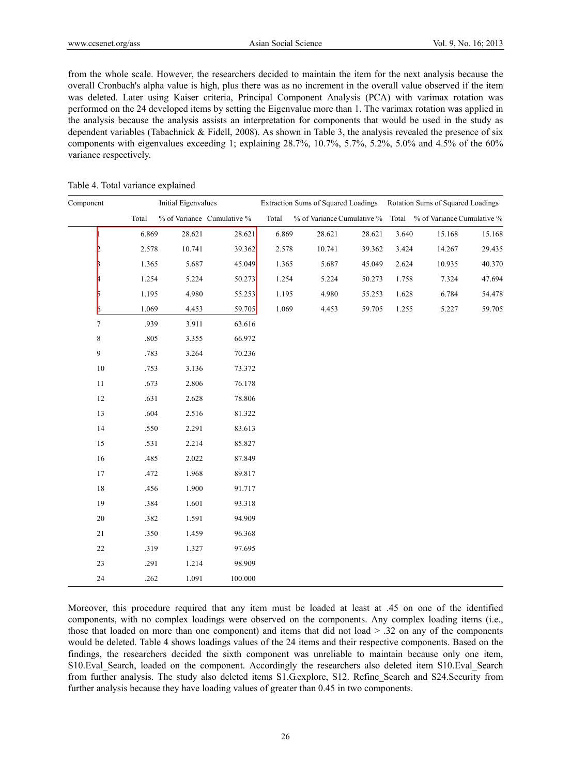from the whole scale. However, the researchers decided to maintain the item for the next analysis because the overall Cronbach's alpha value is high, plus there was as no increment in the overall value observed if the item was deleted. Later using Kaiser criteria, Principal Component Analysis (PCA) with varimax rotation was performed on the 24 developed items by setting the Eigenvalue more than 1. The varimax rotation was applied in the analysis because the analysis assists an interpretation for components that would be used in the study as dependent variables (Tabachnick & Fidell, 2008). As shown in Table 3, the analysis revealed the presence of six components with eigenvalues exceeding 1; explaining  $28.7\%$ ,  $10.7\%$ ,  $5.7\%$ ,  $5.2\%$ ,  $5.0\%$  and  $4.5\%$  of the  $60\%$ variance respectively.

#### Table 4. Total variance explained

| Component        |       | Initial Eigenvalues |                            |       | Extraction Sums of Squared Loadings |        |       | Rotation Sums of Squared Loadings                           |        |
|------------------|-------|---------------------|----------------------------|-------|-------------------------------------|--------|-------|-------------------------------------------------------------|--------|
|                  | Total |                     | % of Variance Cumulative % | Total |                                     |        |       | % of Variance Cumulative % Total % of Variance Cumulative % |        |
| $\mathbf{1}$     | 6.869 | 28.621              | 28.621                     | 6.869 | 28.621                              | 28.621 | 3.640 | 15.168                                                      | 15.168 |
| þ                | 2.578 | 10.741              | 39.362                     | 2.578 | 10.741                              | 39.362 | 3.424 | 14.267                                                      | 29.435 |
| B                | 1.365 | 5.687               | 45.049                     | 1.365 | 5.687                               | 45.049 | 2.624 | 10.935                                                      | 40.370 |
| k.               | 1.254 | 5.224               | 50.273                     | 1.254 | 5.224                               | 50.273 | 1.758 | 7.324                                                       | 47.694 |
| 5                | 1.195 | 4.980               | 55.253                     | 1.195 | 4.980                               | 55.253 | 1.628 | 6.784                                                       | 54.478 |
| 6                | 1.069 | 4.453               | 59.705                     | 1.069 | 4.453                               | 59.705 | 1.255 | 5.227                                                       | 59.705 |
| $\tau$           | .939  | 3.911               | 63.616                     |       |                                     |        |       |                                                             |        |
| $\,$ 8 $\,$      | .805  | 3.355               | 66.972                     |       |                                     |        |       |                                                             |        |
| $\boldsymbol{9}$ | .783  | 3.264               | 70.236                     |       |                                     |        |       |                                                             |        |
| $10\,$           | .753  | 3.136               | 73.372                     |       |                                     |        |       |                                                             |        |
| $11\,$           | .673  | 2.806               | 76.178                     |       |                                     |        |       |                                                             |        |
| 12               | .631  | 2.628               | 78.806                     |       |                                     |        |       |                                                             |        |
| 13               | .604  | 2.516               | 81.322                     |       |                                     |        |       |                                                             |        |
| 14               | .550  | 2.291               | 83.613                     |       |                                     |        |       |                                                             |        |
| 15               | .531  | 2.214               | 85.827                     |       |                                     |        |       |                                                             |        |
| 16               | .485  | 2.022               | 87.849                     |       |                                     |        |       |                                                             |        |
| $17\,$           | .472  | 1.968               | 89.817                     |       |                                     |        |       |                                                             |        |
| 18               | .456  | 1.900               | 91.717                     |       |                                     |        |       |                                                             |        |
| 19               | .384  | 1.601               | 93.318                     |       |                                     |        |       |                                                             |        |
| $20\,$           | .382  | 1.591               | 94.909                     |       |                                     |        |       |                                                             |        |
| $21\,$           | .350  | 1.459               | 96.368                     |       |                                     |        |       |                                                             |        |
| $22\,$           | .319  | 1.327               | 97.695                     |       |                                     |        |       |                                                             |        |
| 23               | .291  | 1.214               | 98.909                     |       |                                     |        |       |                                                             |        |
| 24               | .262  | 1.091               | 100.000                    |       |                                     |        |       |                                                             |        |

Moreover, this procedure required that any item must be loaded at least at .45 on one of the identified components, with no complex loadings were observed on the components. Any complex loading items (i.e., those that loaded on more than one component) and items that did not load > .32 on any of the components would be deleted. Table 4 shows loadings values of the 24 items and their respective components. Based on the findings, the researchers decided the sixth component was unreliable to maintain because only one item, S10.Eval Search, loaded on the component. Accordingly the researchers also deleted item S10.Eval Search from further analysis. The study also deleted items S1.G.explore, S12. Refine Search and S24.Security from further analysis because they have loading values of greater than 0.45 in two components.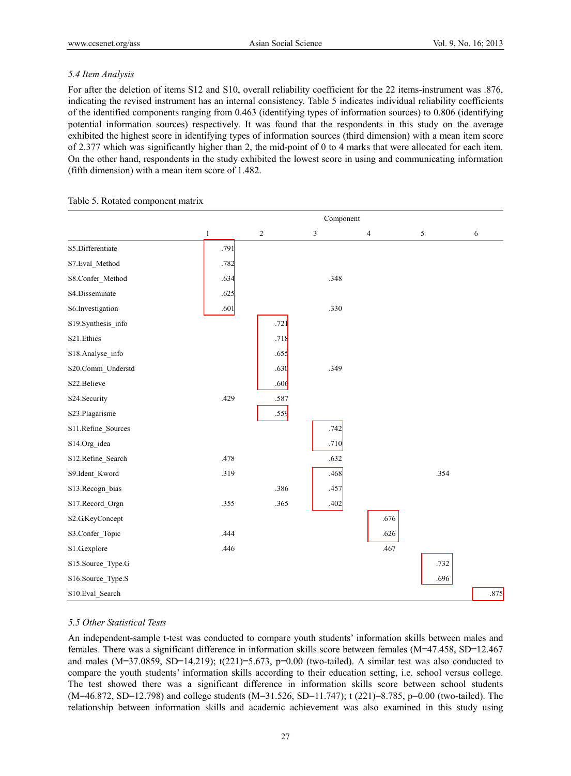# *5.4 Item Analysis*

For after the deletion of items S12 and S10, overall reliability coefficient for the 22 items-instrument was .876, indicating the revised instrument has an internal consistency. Table 5 indicates individual reliability coefficients of the identified components ranging from 0.463 (identifying types of information sources) to 0.806 (identifying potential information sources) respectively. It was found that the respondents in this study on the average exhibited the highest score in identifying types of information sources (third dimension) with a mean item score of 2.377 which was significantly higher than 2, the mid-point of 0 to 4 marks that were allocated for each item. On the other hand, respondents in the study exhibited the lowest score in using and communicating information (fifth dimension) with a mean item score of 1.482.

|                    | Component    |            |      |          |      |      |
|--------------------|--------------|------------|------|----------|------|------|
|                    | $\mathbf{1}$ | $\sqrt{2}$ | 3    | 4        | 5    | 6    |
| S5.Differentiate   | .791         |            |      |          |      |      |
| S7.Eval_Method     | .782         |            |      |          |      |      |
| S8.Confer_Method   | .634         |            | .348 |          |      |      |
| S4.Disseminate     | .625         |            |      |          |      |      |
| S6.Investigation   | .601         |            | .330 |          |      |      |
| S19.Synthesis_info |              | .721       |      |          |      |      |
| S21.Ethics         |              | .718       |      |          |      |      |
| S18.Analyse_info   |              | .655       |      |          |      |      |
| S20.Comm_Understd  |              | .630       | .349 |          |      |      |
| S22.Believe        |              | .606       |      |          |      |      |
| S24.Security       | .429         | .587       |      |          |      |      |
| S23.Plagarisme     |              | .559       |      |          |      |      |
| S11.Refine_Sources |              |            | .742 |          |      |      |
| S14.Org_idea       |              |            | .710 |          |      |      |
| S12.Refine_Search  | .478         |            | .632 |          |      |      |
| S9.Ident_Kword     | .319         |            | .468 |          | .354 |      |
| S13.Recogn_bias    |              | .386       | .457 |          |      |      |
| S17.Record_Orgn    | .355         | .365       | .402 |          |      |      |
| S2.G.KeyConcept    |              |            |      | $.676\,$ |      |      |
| S3.Confer_Topic    | .444         |            |      | .626     |      |      |
| S1.Gexplore        | .446         |            |      | .467     |      |      |
| S15.Source_Type.G  |              |            |      |          | .732 |      |
| S16.Source_Type.S  |              |            |      |          | .696 |      |
| S10.Eval_Search    |              |            |      |          |      | .875 |

#### Table 5. Rotated component matrix

#### *5.5 Other Statistical Tests*

An independent-sample t-test was conducted to compare youth students' information skills between males and females. There was a significant difference in information skills score between females (M=47.458, SD=12.467 and males (M=37.0859, SD=14.219);  $t(221)=5.673$ ,  $p=0.00$  (two-tailed). A similar test was also conducted to compare the youth students' information skills according to their education setting, i.e. school versus college. The test showed there was a significant difference in information skills score between school students (M=46.872, SD=12.798) and college students (M=31.526, SD=11.747); t (221)=8.785, p=0.00 (two-tailed). The relationship between information skills and academic achievement was also examined in this study using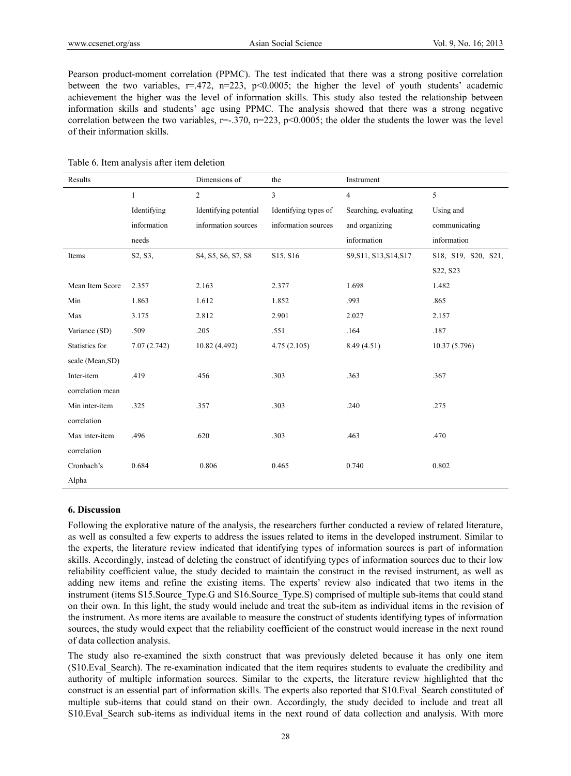Pearson product-moment correlation (PPMC). The test indicated that there was a strong positive correlation between the two variables,  $r=472$ ,  $n=223$ ,  $p<0.0005$ ; the higher the level of youth students' academic achievement the higher was the level of information skills. This study also tested the relationship between information skills and students' age using PPMC. The analysis showed that there was a strong negative correlation between the two variables,  $r=-.370$ ,  $n=223$ ,  $p<0.0005$ ; the older the students the lower was the level of their information skills.

#### Table 6. Item analysis after item deletion

| Results          |              | Dimensions of         | the                  | Instrument             |                     |
|------------------|--------------|-----------------------|----------------------|------------------------|---------------------|
|                  | $\mathbf{1}$ | $\overline{c}$        | 3                    | $\overline{4}$         | 5                   |
|                  | Identifying  | Identifying potential | Identifying types of | Searching, evaluating  | Using and           |
|                  | information  | information sources   | information sources  | and organizing         | communicating       |
|                  | needs        |                       |                      | information            | information         |
| Items            | S2, S3,      | S4, S5, S6, S7, S8    | S15, S16             | S9, S11, S13, S14, S17 | S18, S19, S20, S21, |
|                  |              |                       |                      |                        | S22, S23            |
| Mean Item Score  | 2.357        | 2.163                 | 2.377                | 1.698                  | 1.482               |
| Min              | 1.863        | 1.612                 | 1.852                | .993                   | .865                |
| Max              | 3.175        | 2.812                 | 2.901                | 2.027                  | 2.157               |
| Variance (SD)    | .509         | .205                  | .551                 | .164                   | .187                |
| Statistics for   | 7.07(2.742)  | 10.82 (4.492)         | 4.75(2.105)          | 8.49(4.51)             | 10.37(5.796)        |
| scale (Mean, SD) |              |                       |                      |                        |                     |
| Inter-item       | .419         | .456                  | .303                 | .363                   | .367                |
| correlation mean |              |                       |                      |                        |                     |
| Min inter-item   | .325         | .357                  | .303                 | .240                   | .275                |
| correlation      |              |                       |                      |                        |                     |
| Max inter-item   | .496         | .620                  | .303                 | .463                   | .470                |
| correlation      |              |                       |                      |                        |                     |
| Cronbach's       | 0.684        | 0.806                 | 0.465                | 0.740                  | 0.802               |
| Alpha            |              |                       |                      |                        |                     |

#### **6. Discussion**

Following the explorative nature of the analysis, the researchers further conducted a review of related literature, as well as consulted a few experts to address the issues related to items in the developed instrument. Similar to the experts, the literature review indicated that identifying types of information sources is part of information skills. Accordingly, instead of deleting the construct of identifying types of information sources due to their low reliability coefficient value, the study decided to maintain the construct in the revised instrument, as well as adding new items and refine the existing items. The experts' review also indicated that two items in the instrument (items S15. Source: Type. G and S16. Source: Type. S) comprised of multiple sub-items that could stand on their own. In this light, the study would include and treat the sub-item as individual items in the revision of the instrument. As more items are available to measure the construct of students identifying types of information sources, the study would expect that the reliability coefficient of the construct would increase in the next round of data collection analysis.

The study also re-examined the sixth construct that was previously deleted because it has only one item (S10.Eval\_Search). The re-examination indicated that the item requires students to evaluate the credibility and authority of multiple information sources. Similar to the experts, the literature review highlighted that the construct is an essential part of information skills. The experts also reported that S10.Eval\_Search constituted of multiple sub-items that could stand on their own. Accordingly, the study decided to include and treat all S10.Eval\_Search sub-items as individual items in the next round of data collection and analysis. With more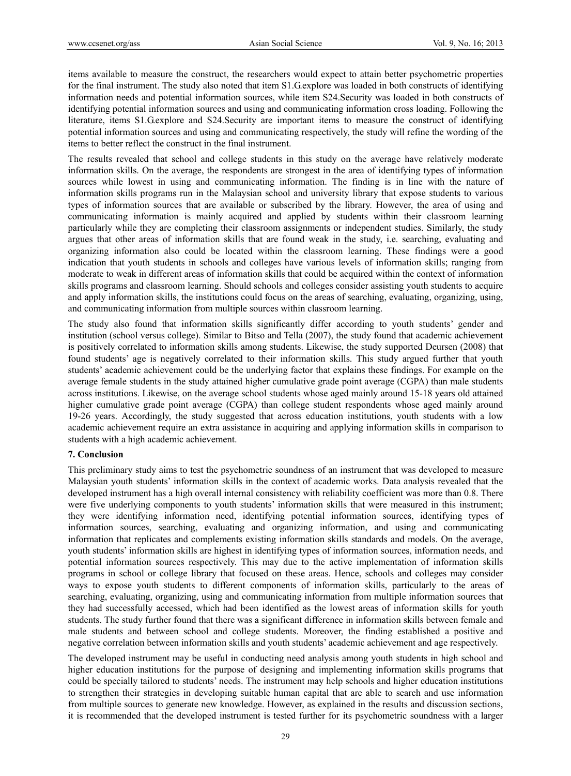items available to measure the construct, the researchers would expect to attain better psychometric properties for the final instrument. The study also noted that item S1.G.explore was loaded in both constructs of identifying information needs and potential information sources, while item S24.Security was loaded in both constructs of identifying potential information sources and using and communicating information cross loading. Following the literature, items S1.G.explore and S24.Security are important items to measure the construct of identifying potential information sources and using and communicating respectively, the study will refine the wording of the items to better reflect the construct in the final instrument.

The results revealed that school and college students in this study on the average have relatively moderate information skills. On the average, the respondents are strongest in the area of identifying types of information sources while lowest in using and communicating information. The finding is in line with the nature of information skills programs run in the Malaysian school and university library that expose students to various types of information sources that are available or subscribed by the library. However, the area of using and communicating information is mainly acquired and applied by students within their classroom learning particularly while they are completing their classroom assignments or independent studies. Similarly, the study argues that other areas of information skills that are found weak in the study, i.e. searching, evaluating and organizing information also could be located within the classroom learning. These findings were a good indication that youth students in schools and colleges have various levels of information skills; ranging from moderate to weak in different areas of information skills that could be acquired within the context of information skills programs and classroom learning. Should schools and colleges consider assisting youth students to acquire and apply information skills, the institutions could focus on the areas of searching, evaluating, organizing, using, and communicating information from multiple sources within classroom learning.

The study also found that information skills significantly differ according to youth students' gender and institution (school versus college). Similar to Bitso and Tella (2007), the study found that academic achievement is positively correlated to information skills among students. Likewise, the study supported Deursen (2008) that found students' age is negatively correlated to their information skills. This study argued further that youth students' academic achievement could be the underlying factor that explains these findings. For example on the average female students in the study attained higher cumulative grade point average (CGPA) than male students across institutions. Likewise, on the average school students whose aged mainly around 15-18 years old attained higher cumulative grade point average (CGPA) than college student respondents whose aged mainly around 19-26 years. Accordingly, the study suggested that across education institutions, youth students with a low academic achievement require an extra assistance in acquiring and applying information skills in comparison to students with a high academic achievement.

#### **7. Conclusion**

This preliminary study aims to test the psychometric soundness of an instrument that was developed to measure Malaysian youth students' information skills in the context of academic works. Data analysis revealed that the developed instrument has a high overall internal consistency with reliability coefficient was more than 0.8. There were five underlying components to youth students' information skills that were measured in this instrument; they were identifying information need, identifying potential information sources, identifying types of information sources, searching, evaluating and organizing information, and using and communicating information that replicates and complements existing information skills standards and models. On the average, youth students' information skills are highest in identifying types of information sources, information needs, and potential information sources respectively. This may due to the active implementation of information skills programs in school or college library that focused on these areas. Hence, schools and colleges may consider ways to expose youth students to different components of information skills, particularly to the areas of searching, evaluating, organizing, using and communicating information from multiple information sources that they had successfully accessed, which had been identified as the lowest areas of information skills for youth students. The study further found that there was a significant difference in information skills between female and male students and between school and college students. Moreover, the finding established a positive and negative correlation between information skills and youth students' academic achievement and age respectively.

The developed instrument may be useful in conducting need analysis among youth students in high school and higher education institutions for the purpose of designing and implementing information skills programs that could be specially tailored to students' needs. The instrument may help schools and higher education institutions to strengthen their strategies in developing suitable human capital that are able to search and use information from multiple sources to generate new knowledge. However, as explained in the results and discussion sections, it is recommended that the developed instrument is tested further for its psychometric soundness with a larger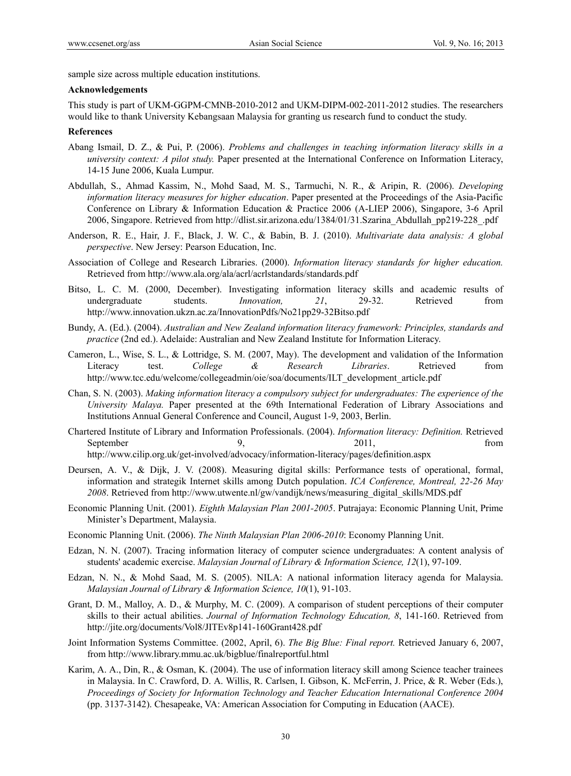sample size across multiple education institutions.

#### **Acknowledgements**

This study is part of UKM-GGPM-CMNB-2010-2012 and UKM-DIPM-002-2011-2012 studies. The researchers would like to thank University Kebangsaan Malaysia for granting us research fund to conduct the study.

#### **References**

- Abang Ismail, D. Z., & Pui, P. (2006). *Problems and challenges in teaching information literacy skills in a university context: A pilot study.* Paper presented at the International Conference on Information Literacy, 14-15 June 2006, Kuala Lumpur.
- Abdullah, S., Ahmad Kassim, N., Mohd Saad, M. S., Tarmuchi, N. R., & Aripin, R. (2006). *Developing information literacy measures for higher education*. Paper presented at the Proceedings of the Asia-Pacific Conference on Library & Information Education & Practice 2006 (A-LIEP 2006), Singapore, 3-6 April 2006, Singapore. Retrieved from http://dlist.sir.arizona.edu/1384/01/31.Szarina\_Abdullah\_pp219-228\_.pdf
- Anderson, R. E., Hair, J. F., Black, J. W. C., & Babin, B. J. (2010). *Multivariate data analysis: A global perspective*. New Jersey: Pearson Education, Inc.
- Association of College and Research Libraries. (2000). *Information literacy standards for higher education.*  Retrieved from http://www.ala.org/ala/acrl/acrlstandards/standards.pdf
- Bitso, L. C. M. (2000, December). Investigating information literacy skills and academic results of undergraduate students. *Innovation, 21*, 29-32. Retrieved from http://www.innovation.ukzn.ac.za/InnovationPdfs/No21pp29-32Bitso.pdf
- Bundy, A. (Ed.). (2004). *Australian and New Zealand information literacy framework: Principles, standards and practice* (2nd ed.). Adelaide: Australian and New Zealand Institute for Information Literacy.
- Cameron, L., Wise, S. L., & Lottridge, S. M. (2007, May). The development and validation of the Information Literacy test. *College & Research Libraries*. Retrieved from http://www.tcc.edu/welcome/collegeadmin/oie/soa/documents/ILT\_development\_article.pdf
- Chan, S. N. (2003). *Making information literacy a compulsory subject for undergraduates: The experience of the University Malaya.* Paper presented at the 69th International Federation of Library Associations and Institutions Annual General Conference and Council, August 1-9, 2003, Berlin.
- Chartered Institute of Library and Information Professionals. (2004). *Information literacy: Definition.* Retrieved September 9, 2011, from http://www.cilip.org.uk/get-involved/advocacy/information-literacy/pages/definition.aspx
- Deursen, A. V., & Dijk, J. V. (2008). Measuring digital skills: Performance tests of operational, formal, information and strategik Internet skills among Dutch population. *ICA Conference, Montreal, 22-26 May 2008*. Retrieved from http://www.utwente.nl/gw/vandijk/news/measuring\_digital\_skills/MDS.pdf
- Economic Planning Unit. (2001). *Eighth Malaysian Plan 2001-2005*. Putrajaya: Economic Planning Unit, Prime Minister's Department, Malaysia.
- Economic Planning Unit. (2006). *The Ninth Malaysian Plan 2006-2010*: Economy Planning Unit.
- Edzan, N. N. (2007). Tracing information literacy of computer science undergraduates: A content analysis of students' academic exercise. *Malaysian Journal of Library & Information Science, 12*(1), 97-109.
- Edzan, N. N., & Mohd Saad, M. S. (2005). NILA: A national information literacy agenda for Malaysia. *Malaysian Journal of Library & Information Science, 10*(1), 91-103.
- Grant, D. M., Malloy, A. D., & Murphy, M. C. (2009). A comparison of student perceptions of their computer skills to their actual abilities. *Journal of Information Technology Education, 8*, 141-160. Retrieved from http://jite.org/documents/Vol8/JITEv8p141-160Grant428.pdf
- Joint Information Systems Committee. (2002, April, 6). *The Big Blue: Final report.* Retrieved January 6, 2007, from http://www.library.mmu.ac.uk/bigblue/finalreportful.html
- Karim, A. A., Din, R., & Osman, K. (2004). The use of information literacy skill among Science teacher trainees in Malaysia. In C. Crawford, D. A. Willis, R. Carlsen, I. Gibson, K. McFerrin, J. Price, & R. Weber (Eds.), *Proceedings of Society for Information Technology and Teacher Education International Conference 2004* (pp. 3137-3142). Chesapeake, VA: American Association for Computing in Education (AACE).